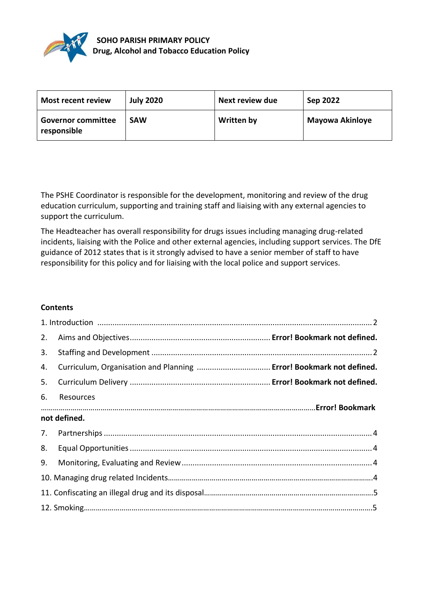

| Most recent review                       | <b>July 2020</b> | Next review due   | Sep 2022        |
|------------------------------------------|------------------|-------------------|-----------------|
| <b>Governor committee</b><br>responsible | <b>SAW</b>       | <b>Written by</b> | Mayowa Akinloye |

The PSHE Coordinator is responsible for the development, monitoring and review of the drug education curriculum, supporting and training staff and liaising with any external agencies to support the curriculum.

The Headteacher has overall responsibility for drugs issues including managing drug-related incidents, liaising with the Police and other external agencies, including support services. The DfE guidance of 2012 states that is it strongly advised to have a senior member of staff to have responsibility for this policy and for liaising with the local police and support services.

## **Contents**

| 2.           |           |  |  |
|--------------|-----------|--|--|
| 3.           |           |  |  |
| 4.           |           |  |  |
| 5.           |           |  |  |
| 6.           | Resources |  |  |
| not defined. |           |  |  |
|              |           |  |  |
| 8.           |           |  |  |
|              |           |  |  |
|              |           |  |  |
|              |           |  |  |
|              |           |  |  |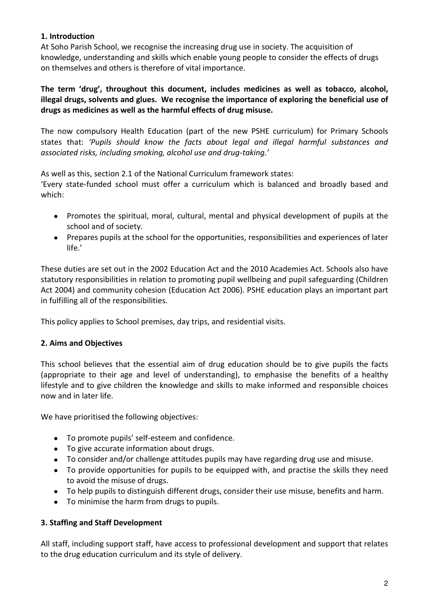# **1. Introduction**

At Soho Parish School, we recognise the increasing drug use in society. The acquisition of knowledge, understanding and skills which enable young people to consider the effects of drugs on themselves and others is therefore of vital importance.

**The term 'drug', throughout this document, includes medicines as well as tobacco, alcohol, illegal drugs, solvents and glues. We recognise the importance of exploring the beneficial use of drugs as medicines as well as the harmful effects of drug misuse.**

The now compulsory Health Education (part of the new PSHE curriculum) for Primary Schools states that: *'Pupils should know the facts about legal and illegal harmful substances and associated risks, including smoking, alcohol use and drug-taking.'*

As well as this, section 2.1 of the National Curriculum framework states:

'Every state-funded school must offer a curriculum which is balanced and broadly based and which:

- Promotes the spiritual, moral, cultural, mental and physical development of pupils at the school and of society.
- Prepares pupils at the school for the opportunities, responsibilities and experiences of later life.'

These duties are set out in the 2002 Education Act and the 2010 Academies Act. Schools also have statutory responsibilities in relation to promoting pupil wellbeing and pupil safeguarding (Children Act 2004) and community cohesion (Education Act 2006). PSHE education plays an important part in fulfilling all of the responsibilities.

This policy applies to School premises, day trips, and residential visits.

## **2. Aims and Objectives**

This school believes that the essential aim of drug education should be to give pupils the facts (appropriate to their age and level of understanding), to emphasise the benefits of a healthy lifestyle and to give children the knowledge and skills to make informed and responsible choices now and in later life.

We have prioritised the following objectives:

- To promote pupils' self-esteem and confidence.
- To give accurate information about drugs.
- To consider and/or challenge attitudes pupils may have regarding drug use and misuse.
- To provide opportunities for pupils to be equipped with, and practise the skills they need to avoid the misuse of drugs.
- To help pupils to distinguish different drugs, consider their use misuse, benefits and harm.
- To minimise the harm from drugs to pupils.

# **3. Staffing and Staff Development**

All staff, including support staff, have access to professional development and support that relates to the drug education curriculum and its style of delivery.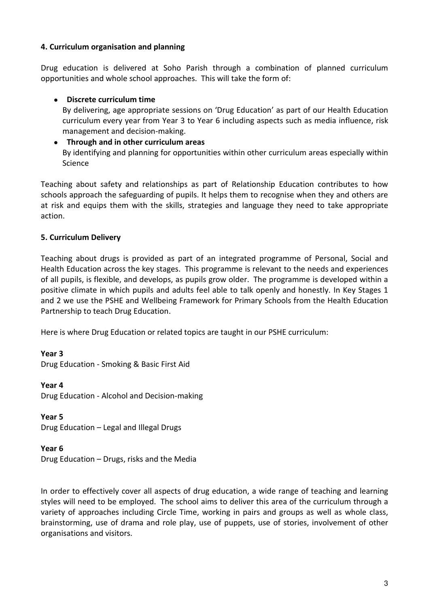## **4. Curriculum organisation and planning**

Drug education is delivered at Soho Parish through a combination of planned curriculum opportunities and whole school approaches. This will take the form of:

### **Discrete curriculum time**

By delivering, age appropriate sessions on 'Drug Education' as part of our Health Education curriculum every year from Year 3 to Year 6 including aspects such as media influence, risk management and decision-making.

#### **Through and in other curriculum areas** By identifying and planning for opportunities within other curriculum areas especially within Science

Teaching about safety and relationships as part of Relationship Education contributes to how schools approach the safeguarding of pupils. It helps them to recognise when they and others are at risk and equips them with the skills, strategies and language they need to take appropriate action.

### **5. Curriculum Delivery**

Teaching about drugs is provided as part of an integrated programme of Personal, Social and Health Education across the key stages. This programme is relevant to the needs and experiences of all pupils, is flexible, and develops, as pupils grow older. The programme is developed within a positive climate in which pupils and adults feel able to talk openly and honestly. In Key Stages 1 and 2 we use the PSHE and Wellbeing Framework for Primary Schools from the Health Education Partnership to teach Drug Education.

Here is where Drug Education or related topics are taught in our PSHE curriculum:

#### **Year 3**

Drug Education - Smoking & Basic First Aid

#### **Year 4**

Drug Education - Alcohol and Decision-making

#### **Year 5**

Drug Education – Legal and Illegal Drugs

#### **Year 6**

Drug Education – Drugs, risks and the Media

In order to effectively cover all aspects of drug education, a wide range of teaching and learning styles will need to be employed. The school aims to deliver this area of the curriculum through a variety of approaches including Circle Time, working in pairs and groups as well as whole class, brainstorming, use of drama and role play, use of puppets, use of stories, involvement of other organisations and visitors.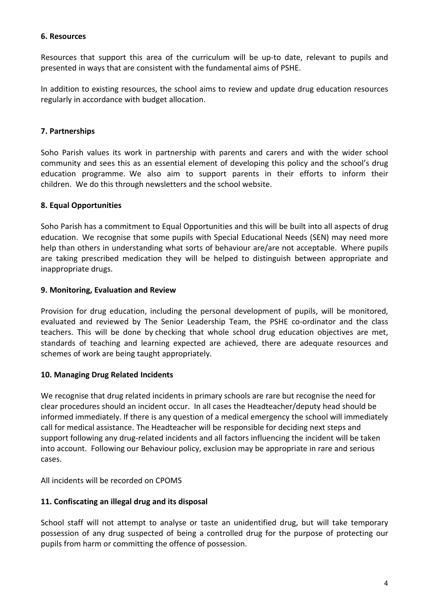### **6. Resources**

Resources that support this area of the curriculum will be up-to date, relevant to pupils and presented in ways that are consistent with the fundamental aims of PSHE.

In addition to existing resources, the school aims to review and update drug education resources regularly in accordance with budget allocation.

# **7. Partnerships**

Soho Parish values its work in partnership with parents and carers and with the wider school community and sees this as an essential element of developing this policy and the school's drug education programme. We also aim to support parents in their efforts to inform their children. We do this through newsletters and the school website.

## **8. Equal Opportunities**

Soho Parish has a commitment to Equal Opportunities and this will be built into all aspects of drug education. We recognise that some pupils with Special Educational Needs (SEN) may need more help than others in understanding what sorts of behaviour are/are not acceptable. Where pupils are taking prescribed medication they will be helped to distinguish between appropriate and inappropriate drugs.

## **9. Monitoring, Evaluation and Review**

Provision for drug education, including the personal development of pupils, will be monitored, evaluated and reviewed by The Senior Leadership Team, the PSHE co-ordinator and the class teachers. This will be done by checking that whole school drug education objectives are met, standards of teaching and learning expected are achieved, there are adequate resources and schemes of work are being taught appropriately.

## **10. Managing Drug Related Incidents**

We recognise that drug related incidents in primary schools are rare but recognise the need for clear procedures should an incident occur. In all cases the Headteacher/deputy head should be informed immediately. If there is any question of a medical emergency the school will immediately call for medical assistance. The Headteacher will be responsible for deciding next steps and support following any drug-related incidents and all factors influencing the incident will be taken into account. Following our Behaviour policy, exclusion may be appropriate in rare and serious cases.

All incidents will be recorded on CPOMS

## **11. Confiscating an illegal drug and its disposal**

School staff will not attempt to analyse or taste an unidentified drug, but will take temporary possession of any drug suspected of being a controlled drug for the purpose of protecting our pupils from harm or committing the offence of possession.